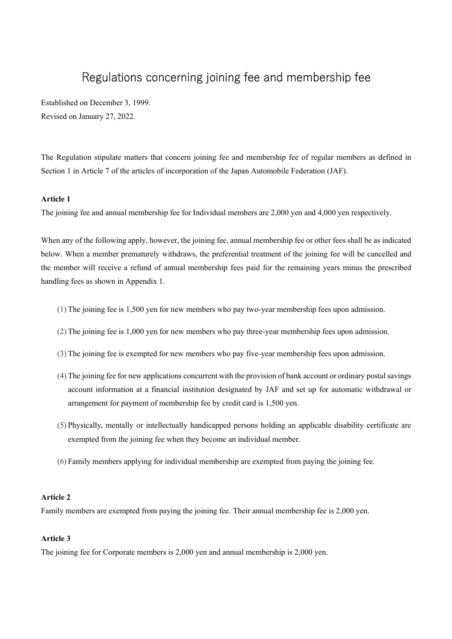# Regulations concerning joining fee and membership fee

Established on December 3, 1999. Revised on January 27, 2022.

The Regulation stipulate matters that concern joining fee and membership fee of regular members as defined in Section 1 in Article 7 of the articles of incorporation of the Japan Automobile Federation (JAF).

## **Article 1**

The joining fee and annual membership fee for Individual members are 2,000 yen and 4,000 yen respectively.

When any of the following apply, however, the joining fee, annual membership fee or other fees shall be as indicated below. When a member prematurely withdraws, the preferential treatment of the joining fee will be cancelled and the member will receive a refund of annual membership fees paid for the remaining years minus the prescribed handling fees as shown in Appendix 1.

- (1) The joining fee is 1,500 yen for new members who pay two-year membership fees upon admission.
- (2) The joining fee is 1,000 yen for new members who pay three-year membership fees upon admission.
- (3) The joining fee is exempted for new members who pay five-year membership fees upon admission.
- (4) The joining fee for new applications concurrent with the provision of bank account or ordinary postal savings account information at a financial institution designated by JAF and set up for automatic withdrawal or arrangement for payment of membership fee by credit card is 1,500 yen.
- (5) Physically, mentally or intellectually handicapped persons holding an applicable disability certificate are exempted from the joining fee when they become an individual member.
- (6) Family members applying for individual membership are exempted from paying the joining fee.

### **Article 2**

Family members are exempted from paying the joining fee. Their annual membership fee is 2,000 yen.

#### **Article 3**

The joining fee for Corporate members is 2,000 yen and annual membership is 2,000 yen.